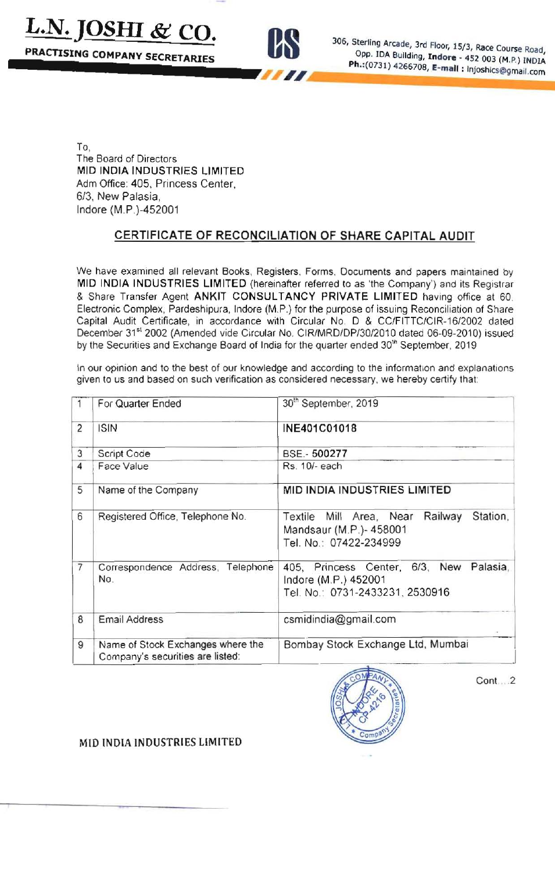**L.N. JOSHI & CO.** 

PRACTISING COMPANY SECRETARIES



306, Sterling Arcade, 3rd Floor, 15/3, Race Course Road, Opp. IDA Building, Indore - 452 003 (M.P.) INDIA Ph.: (0731) 4266708, E-mail : Injoshics@gmail.com

To, The Board of Directors MID INDIA INDUSTRIES LIMITED Adm Office: 405, Princess Center, 6/3, New Palasia, Indore (M.P.)-452001

# CERTIFICATE OF RECONCILIATION OF SHARE CAPITAL AUDIT

We have examined all relevant Books, Registers, Forms, Documents and papers maintained by MID INDIA INDUSTRIES LIMITED (hereinafter referred to as 'the Company') and its Registrar & Share Transfer Agent ANKIT CONSULTANCY PRIVATE LIMITED having office at 60. Electronic Complex, Pardeshipura, Indore (M.P.) for the purpose of issuing Reconciliation of Share Capital Audit Certificate, in accordance with Circular No. D & CC/FITTC/CIR-16/2002 dated December 31st 2002 (Amended vide Circular No. CIR/MRD/DP/30/2010 dated 06-09-2010) issued by the Securities and Exchange Board of India for the quarter ended 30<sup>th</sup> September, 2019

In our opinion and to the best of our knowledge and according to the information and explanations given to us and based on such verification as considered necessary, we hereby certify that:

|                | For Quarter Ended                                                     | 30th September, 2019                                                                                  |  |
|----------------|-----------------------------------------------------------------------|-------------------------------------------------------------------------------------------------------|--|
| $\overline{c}$ | <b>ISIN</b>                                                           | INE401C01018                                                                                          |  |
| 3              | Script Code                                                           | BSE .- 500277                                                                                         |  |
| 4              | Face Value                                                            | Rs. 10/- each                                                                                         |  |
| 5              | Name of the Company                                                   | MID INDIA INDUSTRIES LIMITED                                                                          |  |
| 6              | Registered Office, Telephone No.                                      | Railway<br>Station.<br>Textile Mill Area, Near<br>Mandsaur (M.P.)- 458001<br>Tel. No.: 07422-234999   |  |
| $\overline{7}$ | Correspondence Address,<br>Telephone<br>No.                           | 405, Princess Center, 6/3, New<br>Palasia,<br>Indore (M.P.) 452001<br>Tel. No.: 0731-2433231, 2530916 |  |
| 8              | <b>Email Address</b>                                                  | csmidindia@gmail.com                                                                                  |  |
| 9              | Name of Stock Exchanges where the<br>Company's securities are listed: | Bombay Stock Exchange Ltd, Mumbai                                                                     |  |



Cont...2

#### MID INDIA INDUSTRIES LIMITED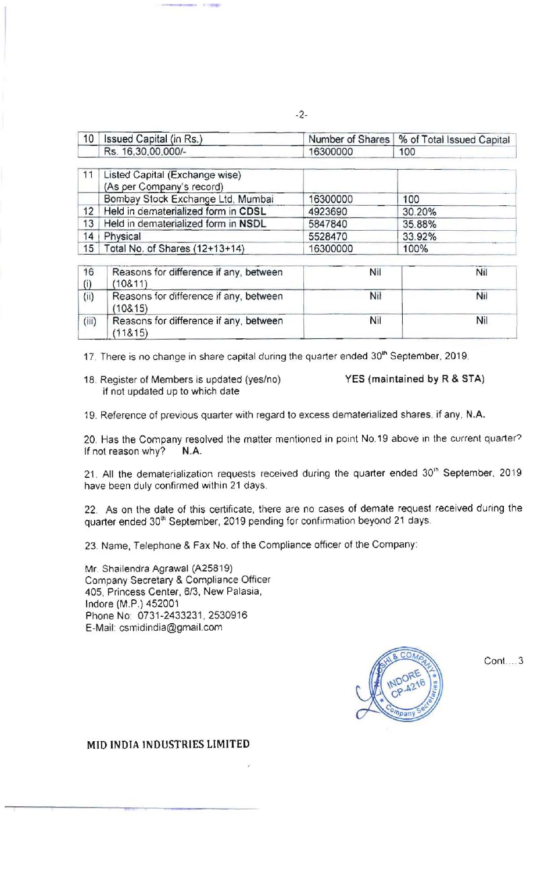| 10 | Issued Capital (in Rs.)                                     |          | Number of Shares   % of Total Issued Capital |
|----|-------------------------------------------------------------|----------|----------------------------------------------|
|    | Rs. 16,30,00,000/-                                          | 16300000 | 100                                          |
| 11 | Listed Capital (Exchange wise)<br>(As per Company's record) |          |                                              |
|    | Bombay Stock Exchange Ltd, Mumbai                           | 16300000 | 100                                          |
| 12 | Held in dematerialized form in CDSL                         | 4923690  | 30.20%                                       |
| 13 | Held in dematerialized form in NSDL                         | 5847840  | 35.88%                                       |
| 14 | Physical                                                    | 5528470  | 33.92%                                       |
| 15 | Total No. of Shares (12+13+14)                              | 16300000 | 100%                                         |

| 16    | Reasons for difference if any, between<br>(10811) | Nil | Nil |
|-------|---------------------------------------------------|-----|-----|
| (ii)  | Reasons for difference if any, between<br>(10815) | Nil | Nil |
| (iii) | Reasons for difference if any, between<br>(11815) | Nil | Nil |

17. There is no change in share capital during the quarter ended 30<sup>th</sup> September, 2019.

18. Register of Members is updated (yes/no) YES (maintained by R & STA) if not updated up to which date

19. Reference of previous quarter with regard to excess dematerialized shares, if any, N.A.

20. Has the Company resolved the matter mentioned in point No.19 above in the current quarter? If not reason why? N.A.

21 All the dematerialization requests received during the quarter ended 30'h September. 2019 have been duly confirmed within 21 days.

22. As on the date of this certificate, there are no cases of demate request received during the quarter ended 30<sup>th</sup> September, 2019 pending for confirmation beyond 21 days.

23. Name, Telephone & Fax No. of the Compliance officer of the Company:

Mr. Shailendra Agrawal (A25819) Company Secretary & Compliance Officer 405, Princess Center, 6/3, New Palasia, Indore (M.P.) 452001 Phone No: 0731-2433231, 2530916 E-Mail: csmidindia@gmail.com



 $Cont. . . . 3$ 

### MID INDIA INDUSTRIES LIMITED

-